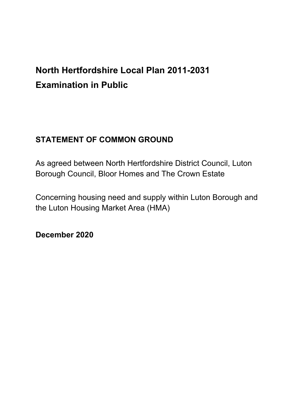# **North Hertfordshire Local Plan 2011-2031 Examination in Public**

# **STATEMENT OF COMMON GROUND**

As agreed between North Hertfordshire District Council, Luton Borough Council, Bloor Homes and The Crown Estate

Concerning housing need and supply within Luton Borough and the Luton Housing Market Area (HMA)

**December 2020**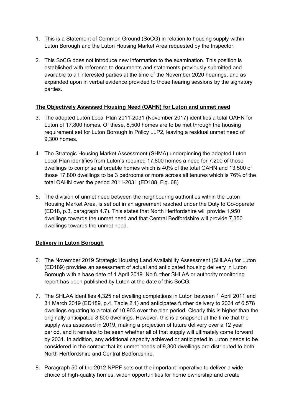- 1. This is a Statement of Common Ground (SoCG) in relation to housing supply within Luton Borough and the Luton Housing Market Area requested by the Inspector.
- 2. This SoCG does not introduce new information to the examination. This position is established with reference to documents and statements previously submitted and available to all interested parties at the time of the November 2020 hearings, and as expanded upon in verbal evidence provided to those hearing sessions by the signatory parties.

## **The Objectively Assessed Housing Need (OAHN) for Luton and unmet need**

- 3. The adopted Luton Local Plan 2011-2031 (November 2017) identifies a total OAHN for Luton of 17,800 homes. Of these, 8,500 homes are to be met through the housing requirement set for Luton Borough in Policy LLP2, leaving a residual unmet need of 9,300 homes.
- 4. The Strategic Housing Market Assessment (SHMA) underpinning the adopted Luton Local Plan identifies from Luton's required 17,800 homes a need for 7,200 of those dwellings to comprise affordable homes which is 40% of the total OAHN and 13,500 of those 17,800 dwellings to be 3 bedrooms or more across all tenures which is 76% of the total OAHN over the period 2011-2031 (ED188, Fig. 68)
- 5. The division of unmet need between the neighbouring authorities within the Luton Housing Market Area, is set out in an agreement reached under the Duty to Co-operate (ED18, p.3, paragraph 4.7). This states that North Hertfordshire will provide 1,950 dwellings towards the unmet need and that Central Bedfordshire will provide 7,350 dwellings towards the unmet need.

## **Delivery in Luton Borough**

- 6. The November 2019 Strategic Housing Land Availability Assessment (SHLAA) for Luton (ED189) provides an assessment of actual and anticipated housing delivery in Luton Borough with a base date of 1 April 2019. No further SHLAA or authority monitoring report has been published by Luton at the date of this SoCG.
- 7. The SHLAA identifies 4,325 net dwelling completions in Luton between 1 April 2011 and 31 March 2019 (ED189, p.4, Table 2.1) and anticipates further delivery to 2031 of 6,578 dwellings equating to a total of 10,903 over the plan period. Clearly this is higher than the originally anticipated 8,500 dwellings. However, this is a snapshot at the time that the supply was assessed in 2019, making a projection of future delivery over a 12 year period, and it remains to be seen whether all of that supply will ultimately come forward by 2031. In addition, any additional capacity achieved or anticipated in Luton needs to be considered in the context that its unmet needs of 9,300 dwellings are distributed to both North Hertfordshire and Central Bedfordshire.
- 8. Paragraph 50 of the 2012 NPPF sets out the important imperative to deliver a wide choice of high-quality homes, widen opportunities for home ownership and create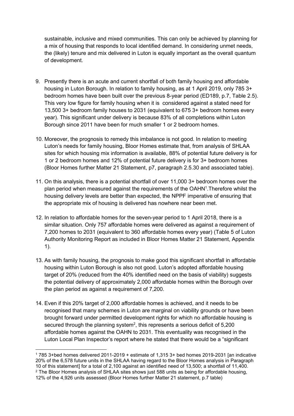sustainable, inclusive and mixed communities. This can only be achieved by planning for a mix of housing that responds to local identified demand. In considering unmet needs, the (likely) tenure and mix delivered in Luton is equally important as the overall quantum of development.

- 9. Presently there is an acute and current shortfall of both family housing and affordable housing in Luton Borough. In relation to family housing, as at 1 April 2019, only 785 3+ bedroom homes have been built over the previous 8-year period (ED189, p.7, Table 2.5). This very low figure for family housing when it is considered against a stated need for 13,500 3+ bedroom family houses to 2031 (equivalent to 675 3+ bedroom homes every year). This significant under delivery is because 83% of all completions within Luton Borough since 2011 have been for much smaller 1 or 2 bedroom homes.
- 10. Moreover, the prognosis to remedy this imbalance is not good. In relation to meeting Luton's needs for family housing, Bloor Homes estimate that, from analysis of SHLAA sites for which housing mix information is available, 88% of potential future delivery is for 1 or 2 bedroom homes and 12% of potential future delivery is for 3+ bedroom homes (Bloor Homes further Matter 21 Statement, p7, paragraph 2.5.30 and associated table).
- 11. On this analysis, there is a potential shortfall of over 11,000 3+ bedroom homes over the plan period when measured against the requirements of the OAHN<sup>1</sup>. Therefore whilst the housing delivery levels are better than expected, the NPPF imperative of ensuring that the appropriate mix of housing is delivered has nowhere near been met.
- 12. In relation to affordable homes for the seven-year period to 1 April 2018, there is a similar situation. Only 757 affordable homes were delivered as against a requirement of 7,200 homes to 2031 (equivalent to 360 affordable homes every year) (Table 5 of Luton Authority Monitoring Report as included in Bloor Homes Matter 21 Statement, Appendix 1).
- 13. As with family housing, the prognosis to make good this significant shortfall in affordable housing within Luton Borough is also not good. Luton's adopted affordable housing target of 20% (reduced from the 40% identified need on the basis of viability) suggests the potential delivery of approximately 2,000 affordable homes within the Borough over the plan period as against a requirement of 7,200.
- 14. Even if this 20% target of 2,000 affordable homes is achieved, and it needs to be recognised that many schemes in Luton are marginal on viability grounds or have been brought forward under permitted development rights for which no affordable housing is secured through the planning system<sup>2</sup>, this represents a serious deficit of 5,200 affordable homes against the OAHN to 2031. This eventuality was recognised in the Luton Local Plan Inspector's report where he stated that there would be a "significant

<sup>1</sup> 785 3+bed homes delivered 2011-2019 + estimate of 1,315 3+ bed homes 2019-2031 [an indicative 20% of the 6,578 future units in the SHLAA having regard to the Bloor Homes analysis in Paragraph 10 of this statement] for a total of 2,100 against an identified need of 13,500; a shortfall of 11,400. <sup>2</sup> The Bloor Homes analysis of SHLAA sites shows just 588 units as being for affordable housing, 12% of the 4,926 units assessed (Bloor Homes further Matter 21 statement, p.7 table)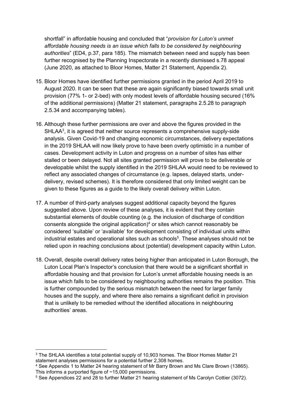shortfall" in affordable housing and concluded that "*provision for Luton's unmet affordable housing needs is an issue which falls to be considered by neighbouring authorities*" (ED4, p.37, para 185). The mismatch between need and supply has been further recognised by the Planning Inspectorate in a recently dismissed s.78 appeal (June 2020, as attached to Bloor Homes, Matter 21 Statement, Appendix 2).

- 15. Bloor Homes have identified further permissions granted in the period April 2019 to August 2020. It can be seen that these are again significantly biased towards small unit provision (77% 1- or 2-bed) with only modest levels of affordable housing secured (16% of the additional permissions) (Matter 21 statement, paragraphs 2.5.28 to paragraph 2.5.34 and accompanying tables).
- 16. Although these further permissions are over and above the figures provided in the SHLAA<sup>3</sup>, it is agreed that neither source represents a comprehensive supply-side analysis. Given Covid-19 and changing economic circumstances, delivery expectations in the 2019 SHLAA will now likely prove to have been overly optimistic in a number of cases. Development activity in Luton and progress on a number of sites has either stalled or been delayed. Not all sites granted permission will prove to be deliverable or developable whilst the supply identified in the 2019 SHLAA would need to be reviewed to reflect any associated changes of circumstance (e.g. lapses, delayed starts, underdelivery, revised schemes). It is therefore considered that only limited weight can be given to these figures as a guide to the likely overall delivery within Luton.
- 17. A number of third-party analyses suggest additional capacity beyond the figures suggested above. Upon review of these analyses, it is evident that they contain substantial elements of double counting (e.g. the inclusion of discharge of condition consents alongside the original application) $4$  or sites which cannot reasonably be considered 'suitable' or 'available' for development consisting of individual units within industrial estates and operational sites such as schools<sup>5</sup>. These analyses should not be relied upon in reaching conclusions about (potential) development capacity within Luton.
- 18. Overall, despite overall delivery rates being higher than anticipated in Luton Borough, the Luton Local Plan's Inspector's conclusion that there would be a significant shortfall in affordable housing and that provision for Luton's unmet affordable housing needs is an issue which falls to be considered by neighbouring authorities remains the position. This is further compounded by the serious mismatch between the need for larger family houses and the supply, and where there also remains a significant deficit in provision that is unlikely to be remedied without the identified allocations in neighbouring authorities' areas.

<sup>3</sup> The SHLAA identifies a total potential supply of 10,903 homes. The Bloor Homes Matter 21 statement analyses permissions for a potential further 2,308 homes.

<sup>4</sup> See Appendix 1 to Matter 24 hearing statement of Mr Barry Brown and Ms Clare Brown (13865). This informs a purported figure of ~15,000 permissions.

<sup>5</sup> See Appendices 22 and 28 to further Matter 21 hearing statement of Ms Carolyn Cottier (3072).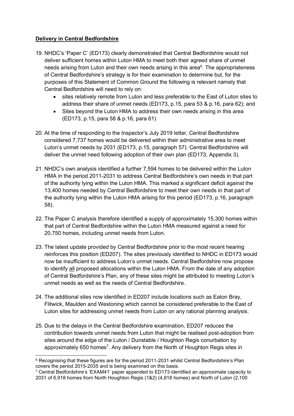# **Delivery in Central Bedfordshire**

- 19. NHDC's 'Paper C' (ED173) clearly demonstrated that Central Bedfordshire would not deliver sufficient homes within Luton HMA to meet both their agreed share of unmet needs arising from Luton and their own needs arising in this area<sup>6</sup>. The appropriateness of Central Bedfordshire's strategy is for their examination to determine but, for the purposes of this Statement of Common Ground the following is relevant namely that Central Bedfordshire will need to rely on:
	- sites relatively remote from Luton and less preferable to the East of Luton sites to address their share of unmet needs (ED173, p.15, para 53 & p.16, para 62); and
	- Sites beyond the Luton HMA to address their own needs arising in this area (ED173, p.15, para 58 & p.16, para 61)
- 20. At the time of responding to the Inspector's July 2019 letter, Central Bedfordshire considered 7,737 homes would be delivered within their administrative area to meet Luton's unmet needs by 2031 (ED173, p.15, paragraph 57). Central Bedfordshire will deliver the unmet need following adoption of their own plan (ED173, Appendix 3).
- 21. NHDC's own analysis identified a further 7,594 homes to be delivered within the Luton HMA in the period 2011-2031 to address Central Bedfordshire's own needs in that part of the authority lying within the Luton HMA. This marked a significant deficit against the 13,400 homes needed by Central Bedfordshire to meet their own needs in that part of the authority lying within the Luton HMA arising for this period (ED173, p.16, paragraph 58).
- 22. The Paper C analysis therefore identified a supply of approximately 15,300 homes within that part of Central Bedfordshire within the Luton HMA measured against a need for 20,750 homes, including unmet needs from Luton.
- 23. The latest update provided by Central Bedfordshire prior to the most recent hearing reinforces this position (ED207). The sites previously identified to NHDC in ED173 would now be insufficient to address Luton's unmet needs. Central Bedfordshire now propose to identify all proposed allocations within the Luton HMA. From the date of any adoption of Central Bedfordshire's Plan, any of these sites might be attributed to meeting Luton's unmet needs as well as the needs of Central Bedfordshire.
- 24. The additional sites now identified in ED207 include locations such as Eaton Bray, Flitwick, Maulden and Westoning which cannot be considered preferable to the East of Luton sites for addressing unmet needs from Luton on any rational planning analysis.
- 25. Due to the delays in the Central Bedfordshire examination, ED207 reduces the contribution towards unmet needs from Luton that might be realised post-adoption from sites around the edge of the Luton / Dunstable / Houghton Regis conurbation by approximately 650 homes<sup>7</sup>. Any delivery from the North of Houghton Regis sites in

 $6$  Recognising that these figures are for the period 2011-2031 whilst Central Bedfordshire's Plan covers the period 2015-2035 and is being examined on this basis.

<sup>7</sup> Central Bedfordshire's 'EXAM41' paper appended to ED173 identified an approximate capacity to 2031 of 6,918 homes from North Houghton Regis (1&2) (4,818 homes) and North of Luton (2,100